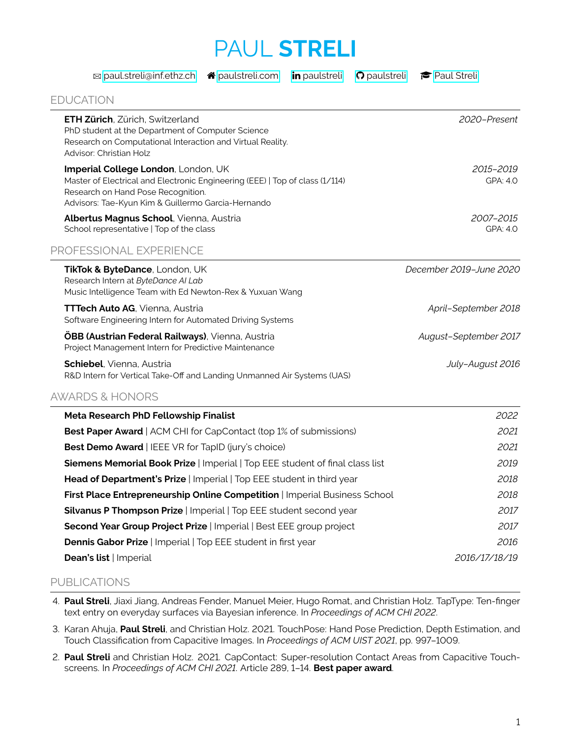## PAUL **STRELI**

| ⊠ paul.streli@inf.ethz.ch | ☎ |
|---------------------------|---|
|                           |   |

[paulstreli.com](http://paulstreli.com) **in** [paulstreli](http://github.com/paulstreli)  $\Omega$  paulstreli  $\epsilon$  [Paul Streli](https://scholar.google.com/citations?user=zzgpUIIAAAAJ&hl=de)

| <b>EDUCATION</b> |  |
|------------------|--|
|                  |  |
|                  |  |

 $\overline{\phantom{a}}$ 

| <b>ETH Zürich, Zürich, Switzerland</b><br>PhD student at the Department of Computer Science<br>Research on Computational Interaction and Virtual Reality.<br>Advisor: Christian Holz                            | 2020-Present                 |
|-----------------------------------------------------------------------------------------------------------------------------------------------------------------------------------------------------------------|------------------------------|
| Imperial College London, London, UK<br>Master of Electrical and Electronic Engineering (EEE)   Top of class (1/114)<br>Research on Hand Pose Recognition.<br>Advisors: Tae-Kyun Kim & Guillermo Garcia-Hernando | <i>2015–2019</i><br>GPA: 4.0 |
| Albertus Magnus School, Vienna, Austria<br>School representative   Top of the class                                                                                                                             | 2007-2015<br>GPA: 4.0        |
| PROFESSIONAL EXPERIENCE                                                                                                                                                                                         |                              |
| TikTok & ByteDance, London, UK<br>Research Intern at ByteDance AI Lab<br>Music Intelligence Team with Ed Newton-Rex & Yuxuan Wang                                                                               | December 2019-June 2020      |
| TTTech Auto AG, Vienna, Austria<br>Software Engineering Intern for Automated Driving Systems                                                                                                                    | April-September 2018         |
| <b>ÖBB (Austrian Federal Railways)</b> , Vienna, Austria<br>Project Management Intern for Predictive Maintenance                                                                                                | August-September 2017        |
| Schiebel, Vienna, Austria<br>R&D Intern for Vertical Take-Off and Landing Unmanned Air Systems (UAS)                                                                                                            | July-August 2016             |
| <b>AWARDS &amp; HONORS</b>                                                                                                                                                                                      |                              |
| Meta Research PhD Fellowship Finalist                                                                                                                                                                           | 2022                         |
| <b>Best Paper Award</b>   ACM CHI for CapContact (top 1% of submissions)                                                                                                                                        | 2021                         |
| Best Demo Award   IEEE VR for TapID (jury's choice)                                                                                                                                                             | 2021                         |
| Siemens Memorial Book Prize   Imperial   Top EEE student of final class list                                                                                                                                    | 2019                         |
| Head of Department's Prize   Imperial   Top EEE student in third year                                                                                                                                           | 2018                         |
| First Place Entrepreneurship Online Competition   Imperial Business School                                                                                                                                      | 2018                         |
| Silvanus P Thompson Prize   Imperial   Top EEE student second year                                                                                                                                              | 2017                         |
| Second Year Group Project Prize   Imperial   Best EEE group project                                                                                                                                             | 2017                         |
| Dennis Gabor Prize   Imperial   Top EEE student in first year                                                                                                                                                   | 2016                         |
| Dean's list   Imperial                                                                                                                                                                                          | 2016/17/18/19                |

## PUBLICATIONS

- 4. **Paul Streli**, Jiaxi Jiang, Andreas Fender, Manuel Meier, Hugo Romat, and Christian Holz. TapType: Ten-finger text entry on everyday surfaces via Bayesian inference. In *Proceedings of ACM CHI 2022*.
- 3. Karan Ahuja, **Paul Streli**, and Christian Holz. 2021. TouchPose: Hand Pose Prediction, Depth Estimation, and Touch Classification from Capacitive Images. In Proceedings of ACM UIST 2021, pp. 997-1009.
- 2. **Paul Streli** and Christian Holz. 2021. CapContact: Super-resolution Contact Areas from Capacitive Touchscreens. In *Proceedings of ACM CHI 2021*. Article 289, 1–14. **Best paper award**.